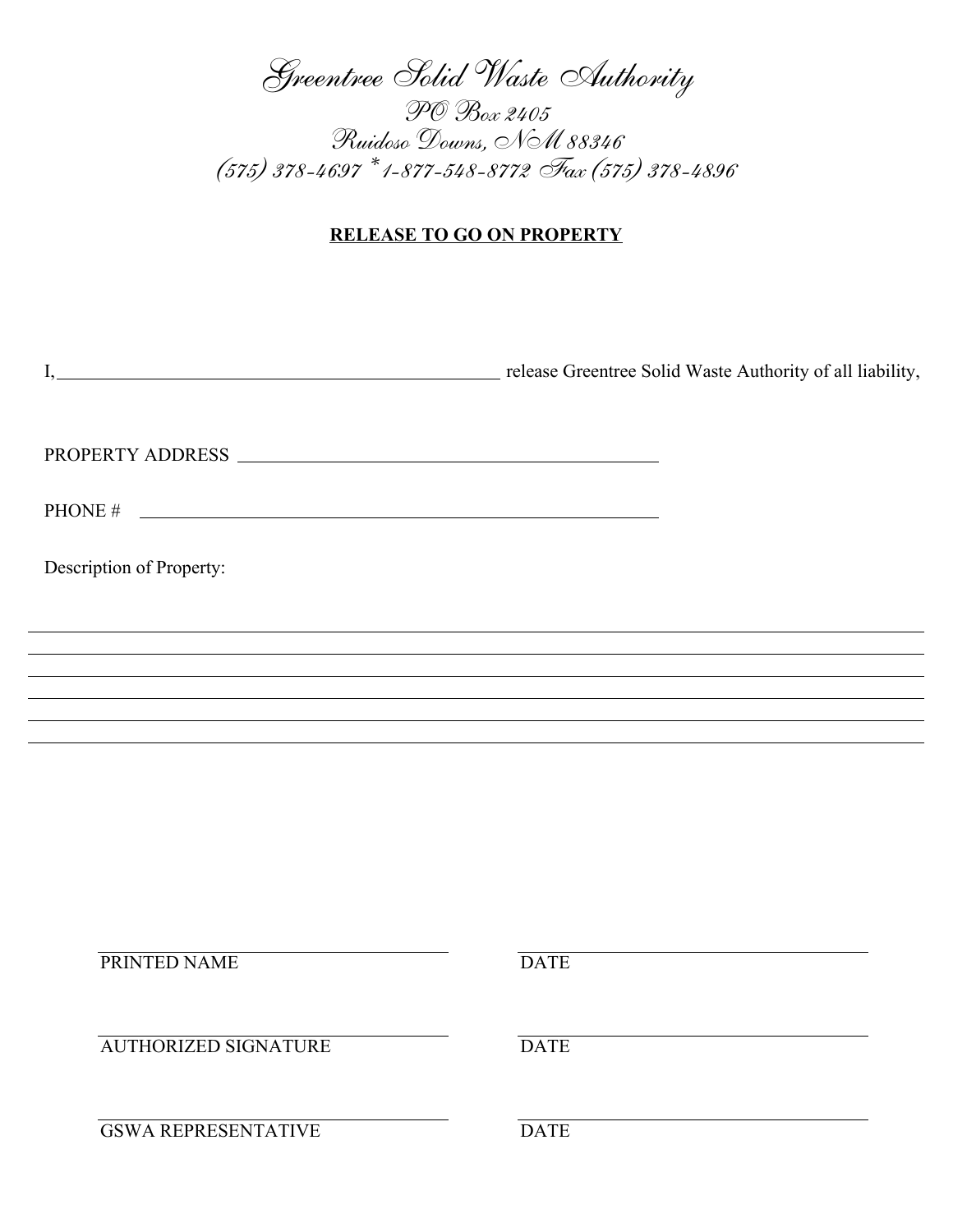Greentree Solid Waste Authority

PO Box 2405 Ruidoso Downs, NM 88346 (575) 378-4697 \* 1-877-548-8772 Fax (575) 378-4896

## **RELEASE TO GO ON PROPERTY**

| I, release Greentree Solid Waste Authority of all liability,                     |                                                                                  |
|----------------------------------------------------------------------------------|----------------------------------------------------------------------------------|
|                                                                                  |                                                                                  |
| PHONE $\#$                                                                       |                                                                                  |
| Description of Property:                                                         |                                                                                  |
| ,我们也不能在这里的时候,我们也不能在这里的时候,我们也不能会不能会不能会不能会不能会不能会不能会不能会不能会不能会。""我们的是,我们也不能会不能会不能会不能 | ,我们也不会有什么。""我们的人,我们也不会有什么?""我们的人,我们也不会有什么?""我们的人,我们也不会有什么?""我们的人,我们也不会有什么?""我们的人 |
|                                                                                  |                                                                                  |
|                                                                                  |                                                                                  |
|                                                                                  |                                                                                  |
|                                                                                  |                                                                                  |
|                                                                                  |                                                                                  |
| PRINTED NAME                                                                     | <b>DATE</b>                                                                      |
| <b>AUTHORIZED SIGNATURE</b>                                                      | <b>DATE</b>                                                                      |
| <b>GSWA REPRESENTATIVE</b>                                                       | <b>DATE</b>                                                                      |